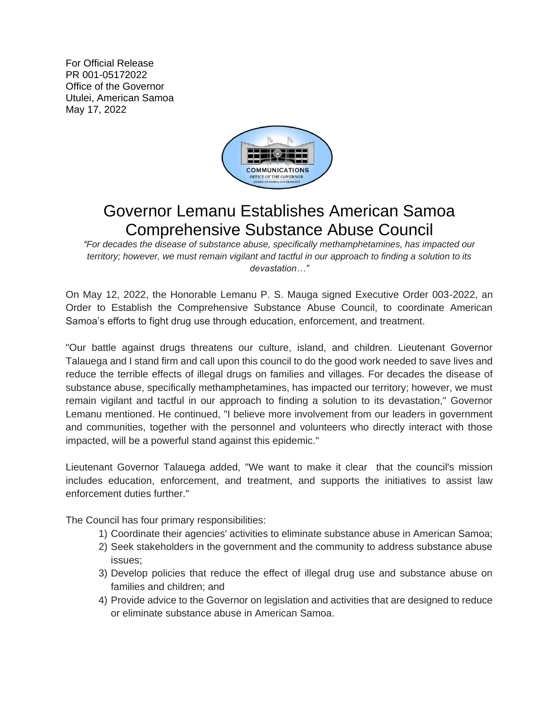For Official Release PR 001-05172022 Office of the Governor Utulei, American Samoa May 17, 2022



## Governor Lemanu Establishes American Samoa Comprehensive Substance Abuse Council

*"For decades the disease of substance abuse, specifically methamphetamines, has impacted our territory; however, we must remain vigilant and tactful in our approach to finding a solution to its devastation…"* 

On May 12, 2022, the Honorable Lemanu P. S. Mauga signed Executive Order 003-2022, an Order to Establish the Comprehensive Substance Abuse Council, to coordinate American Samoa's efforts to fight drug use through education, enforcement, and treatment.

"Our battle against drugs threatens our culture, island, and children. Lieutenant Governor Talauega and I stand firm and call upon this council to do the good work needed to save lives and reduce the terrible effects of illegal drugs on families and villages. For decades the disease of substance abuse, specifically methamphetamines, has impacted our territory; however, we must remain vigilant and tactful in our approach to finding a solution to its devastation," Governor Lemanu mentioned. He continued, "I believe more involvement from our leaders in government and communities, together with the personnel and volunteers who directly interact with those impacted, will be a powerful stand against this epidemic."

Lieutenant Governor Talauega added, "We want to make it clear that the council's mission includes education, enforcement, and treatment, and supports the initiatives to assist law enforcement duties further."

The Council has four primary responsibilities:

- 1) Coordinate their agencies' activities to eliminate substance abuse in American Samoa;
- 2) Seek stakeholders in the government and the community to address substance abuse issues;
- 3) Develop policies that reduce the effect of illegal drug use and substance abuse on families and children; and
- 4) Provide advice to the Governor on legislation and activities that are designed to reduce or eliminate substance abuse in American Samoa.